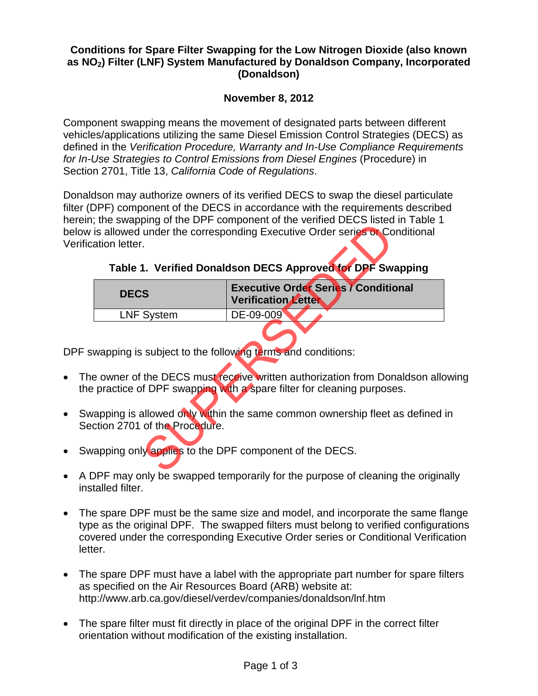#### **Conditions for Spare Filter Swapping for the Low Nitrogen Dioxide (also known as NO2) Filter (LNF) System Manufactured by Donaldson Company, Incorporated (Donaldson)**

# **November 8, 2012**

Component swapping means the movement of designated parts between different vehicles/applications utilizing the same Diesel Emission Control Strategies (DECS) as defined in the *Verification Procedure, Warranty and In-Use Compliance Requirements for In-Use Strategies to Control Emissions from Diesel Engines* (Procedure) in Section 2701, Title 13, *California Code of Regulations*.

Donaldson may authorize owners of its verified DECS to swap the diesel particulate filter (DPF) component of the DECS in accordance with the requirements described herein; the swapping of the DPF component of the verified DECS listed in Table 1 below is allowed under the corresponding Executive Order series or Conditional Verification letter.

## **Table 1. Verified Donaldson DECS Approved for DPF Swapping**

| ation letter.                                                                                                                                                                                                                                                                                  | and owapping or and DTT. Component or and vollinga DEOO libred in Table 1<br>s allowed under the corresponding Executive Order series or Conditional |  |  |  |
|------------------------------------------------------------------------------------------------------------------------------------------------------------------------------------------------------------------------------------------------------------------------------------------------|------------------------------------------------------------------------------------------------------------------------------------------------------|--|--|--|
| Table 1. Verified Donaldson DECS Approved for DPF Swapping                                                                                                                                                                                                                                     |                                                                                                                                                      |  |  |  |
| <b>DECS</b>                                                                                                                                                                                                                                                                                    | <b>Executive Order Series / Conditional</b><br><b>Verification Letter</b>                                                                            |  |  |  |
| <b>LNF System</b>                                                                                                                                                                                                                                                                              | DE-09-009                                                                                                                                            |  |  |  |
|                                                                                                                                                                                                                                                                                                | vapping is subject to the following terms and conditions:                                                                                            |  |  |  |
| owner of the DECS must receive written authorization from Donaldson all<br>practice of DPF swapping with a spare filter for cleaning purposes.                                                                                                                                                 |                                                                                                                                                      |  |  |  |
| tion 2701 of the Procedure.                                                                                                                                                                                                                                                                    | apping is allowed only within the same common ownership fleet as defined                                                                             |  |  |  |
| apping only applies to the DPF component of the DECS.<br>$\blacksquare$ . The contribution of the contribution of the contribution of the contribution of the contribution of the contribution of the contribution of the contribution of the contribution of the contribution of the contribu |                                                                                                                                                      |  |  |  |

DPF swapping is subject to the following terms and conditions:

- The owner of the DECS must receive written authorization from Donaldson allowing the practice of DPF swapping with a spare filter for cleaning purposes.
- Swapping is allowed only within the same common ownership fleet as defined in Section 2701 of the Procedure.
- Swapping only applies to the DPF component of the DECS.
- A DPF may only be swapped temporarily for the purpose of cleaning the originally installed filter.
- The spare DPF must be the same size and model, and incorporate the same flange type as the original DPF. The swapped filters must belong to verified configurations covered under the corresponding Executive Order series or Conditional Verification letter.
- The spare DPF must have a label with the appropriate part number for spare filters as specified on the Air Resources Board (ARB) website at: http://www.arb.ca.gov/diesel/verdev/companies/donaldson/lnf.htm
- The spare filter must fit directly in place of the original DPF in the correct filter orientation without modification of the existing installation.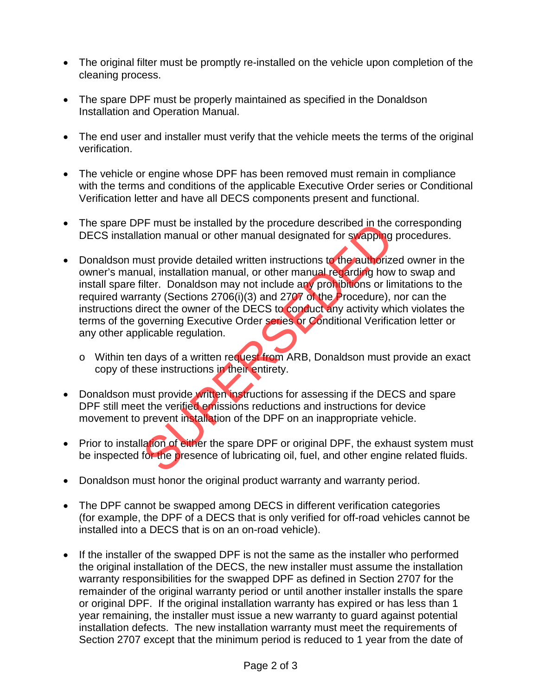- The original filter must be promptly re-installed on the vehicle upon completion of the cleaning process.
- The spare DPF must be properly maintained as specified in the Donaldson Installation and Operation Manual.
- The end user and installer must verify that the vehicle meets the terms of the original verification.
- The vehicle or engine whose DPF has been removed must remain in compliance with the terms and conditions of the applicable Executive Order series or Conditional Verification letter and have all DECS components present and functional.
- The spare DPF must be installed by the procedure described in the corresponding DECS installation manual or other manual designated for swapping procedures.
- Donaldson must provide detailed written instructions to the authorized owner in the owner's manual, installation manual, or other manual regarding how to swap and install spare filter. Donaldson may not include any prohibitions or limitations to the required warranty (Sections 2706(i)(3) and 2707 of the Procedure), nor can the instructions direct the owner of the DECS to conduct any activity which violates the terms of the governing Executive Order series or Conditional Verification letter or any other applicable regulation. The must be installed by the procedure described in the matrion manual or other manual designated for swapping<br>that in manual or other manual designated for swapping<br>ust provide detailed written instructions to the authori
	- o Within ten days of a written request from ARB, Donaldson must provide an exact copy of these instructions in their entirety.
- Donaldson must provide written instructions for assessing if the DECS and spare DPF still meet the verified emissions reductions and instructions for device movement to prevent installation of the DPF on an inappropriate vehicle.
- Prior to installation of either the spare DPF or original DPF, the exhaust system must be inspected for the presence of lubricating oil, fuel, and other engine related fluids.
- Donaldson must honor the original product warranty and warranty period.
- The DPF cannot be swapped among DECS in different verification categories (for example, the DPF of a DECS that is only verified for off-road vehicles cannot be installed into a DECS that is on an on-road vehicle).
- If the installer of the swapped DPF is not the same as the installer who performed the original installation of the DECS, the new installer must assume the installation warranty responsibilities for the swapped DPF as defined in Section 2707 for the remainder of the original warranty period or until another installer installs the spare or original DPF. If the original installation warranty has expired or has less than 1 year remaining, the installer must issue a new warranty to guard against potential installation defects. The new installation warranty must meet the requirements of Section 2707 except that the minimum period is reduced to 1 year from the date of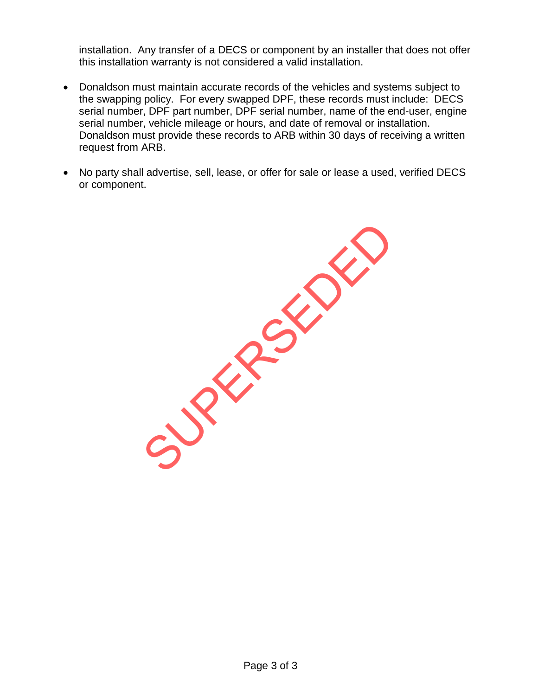installation. Any transfer of a DECS or component by an installer that does not offer this installation warranty is not considered a valid installation.

- Donaldson must maintain accurate records of the vehicles and systems subject to the swapping policy. For every swapped DPF, these records must include: DECS serial number, DPF part number, DPF serial number, name of the end-user, engine serial number, vehicle mileage or hours, and date of removal or installation. Donaldson must provide these records to ARB within 30 days of receiving a written request from ARB.
- No party shall advertise, sell, lease, or offer for sale or lease a used, verified DECS or component.

SUPERSEDED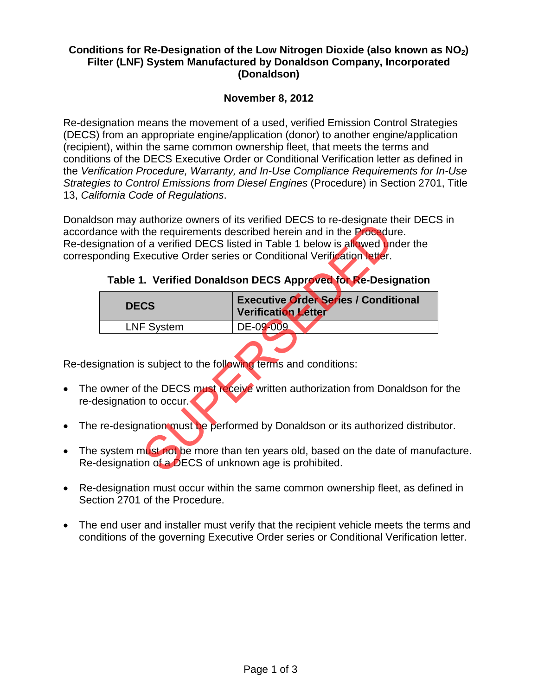#### **Conditions for Re-Designation of the Low Nitrogen Dioxide (also known as NO2) Filter (LNF) System Manufactured by Donaldson Company, Incorporated (Donaldson)**

## **November 8, 2012**

Re-designation means the movement of a used, verified Emission Control Strategies (DECS) from an appropriate engine/application (donor) to another engine/application (recipient), within the same common ownership fleet, that meets the terms and conditions of the DECS Executive Order or Conditional Verification letter as defined in the *Verification Procedure, Warranty, and In-Use Compliance Requirements for In-Use Strategies to Control Emissions from Diesel Engines* (Procedure) in Section 2701, Title 13, *California Code of Regulations*.

Donaldson may authorize owners of its verified DECS to re-designate their DECS in accordance with the requirements described herein and in the Procedure. Re-designation of a verified DECS listed in Table 1 below is allowed under the corresponding Executive Order series or Conditional Verification letter.

| Table 1. Verified Donaldson DECS Approved for Re-Designation |  |  |  |  |
|--------------------------------------------------------------|--|--|--|--|
|--------------------------------------------------------------|--|--|--|--|

| on may additioned onnois or its vormed DEOO to 10 designate their DEO<br>nce with the requirements described herein and in the <b>Procedure</b> .<br>ynation of a verified DECS listed in Table 1 below is allowed under the<br>Inding Executive Order series or Conditional Verification letter.<br>Table 1. Verified Donaldson DECS Approved for Re-Designation |                                                                           |  |  |  |
|-------------------------------------------------------------------------------------------------------------------------------------------------------------------------------------------------------------------------------------------------------------------------------------------------------------------------------------------------------------------|---------------------------------------------------------------------------|--|--|--|
| <b>DECS</b>                                                                                                                                                                                                                                                                                                                                                       | <b>Executive Order Series / Conditional</b><br><b>Verification Letter</b> |  |  |  |
| <b>LNF System</b>                                                                                                                                                                                                                                                                                                                                                 | DE-09-009                                                                 |  |  |  |
| anation is subject to the following terms and conditions:<br>owner of the DECS must receive written authorization from Donaldson f                                                                                                                                                                                                                                |                                                                           |  |  |  |
| signation to occur.                                                                                                                                                                                                                                                                                                                                               |                                                                           |  |  |  |
| e-designation must be performed by Donaldson or its authorized distrib                                                                                                                                                                                                                                                                                            |                                                                           |  |  |  |
| system must not be more than ten years old, based on the date of manu<br>esignation of a DECS of unknown age is prohibited.                                                                                                                                                                                                                                       |                                                                           |  |  |  |
|                                                                                                                                                                                                                                                                                                                                                                   |                                                                           |  |  |  |

Re-designation is subject to the following terms and conditions:

- The owner of the DECS must receive written authorization from Donaldson for the re-designation to occur.
- The re-designation must be performed by Donaldson or its authorized distributor.
- The system must not be more than ten years old, based on the date of manufacture. Re-designation of a DECS of unknown age is prohibited.
- Re-designation must occur within the same common ownership fleet, as defined in Section 2701 of the Procedure.
- The end user and installer must verify that the recipient vehicle meets the terms and conditions of the governing Executive Order series or Conditional Verification letter.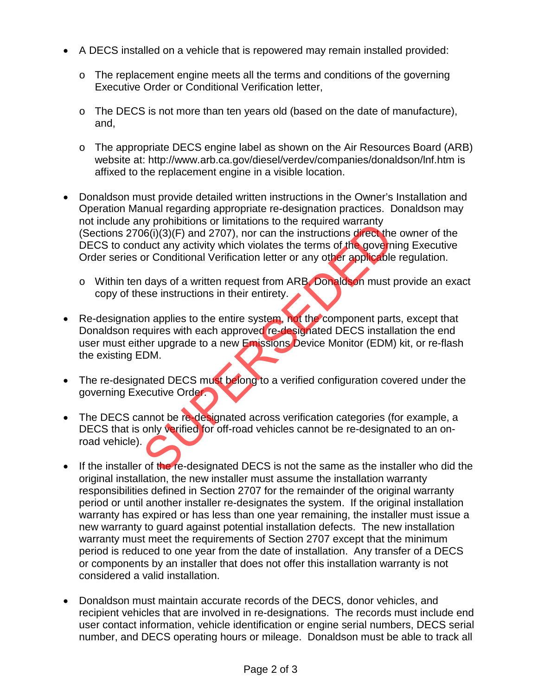- A DECS installed on a vehicle that is repowered may remain installed provided:
	- o The replacement engine meets all the terms and conditions of the governing Executive Order or Conditional Verification letter,
	- o The DECS is not more than ten years old (based on the date of manufacture), and,
	- o The appropriate DECS engine label as shown on the Air Resources Board (ARB) website at: http://www.arb.ca.gov/diesel/verdev/companies/donaldson/lnf.htm is affixed to the replacement engine in a visible location.
- Donaldson must provide detailed written instructions in the Owner's Installation and Operation Manual regarding appropriate re-designation practices. Donaldson may not include any prohibitions or limitations to the required warranty (Sections 2706(i)(3)(F) and 2707), nor can the instructions direct the owner of the DECS to conduct any activity which violates the terms of the governing Executive Order series or Conditional Verification letter or any other applicable regulation.
	- o Within ten days of a written request from ARB, Donaldson must provide an exact copy of these instructions in their entirety.
- Re-designation applies to the entire system, not the component parts, except that Donaldson requires with each approved re-designated DECS installation the end user must either upgrade to a new Emissions Device Monitor (EDM) kit, or re-flash the existing EDM. The relations of initiations to the required warranty<br>
Socij(1)(3)(F) and 2707), nor can the instructions direct the<br>
or Conditional Verification letter or any other applicable<br>
days of a written request from ARB. Donaldso
- The re-designated DECS must belong to a verified configuration covered under the governing Executive Order.
- The DECS cannot be re-designated across verification categories (for example, a DECS that is only verified for off-road vehicles cannot be re-designated to an onroad vehicle).
- If the installer of the re-designated DECS is not the same as the installer who did the original installation, the new installer must assume the installation warranty responsibilities defined in Section 2707 for the remainder of the original warranty period or until another installer re-designates the system. If the original installation warranty has expired or has less than one year remaining, the installer must issue a new warranty to guard against potential installation defects. The new installation warranty must meet the requirements of Section 2707 except that the minimum period is reduced to one year from the date of installation. Any transfer of a DECS or components by an installer that does not offer this installation warranty is not considered a valid installation.
- Donaldson must maintain accurate records of the DECS, donor vehicles, and recipient vehicles that are involved in re-designations. The records must include end user contact information, vehicle identification or engine serial numbers, DECS serial number, and DECS operating hours or mileage. Donaldson must be able to track all